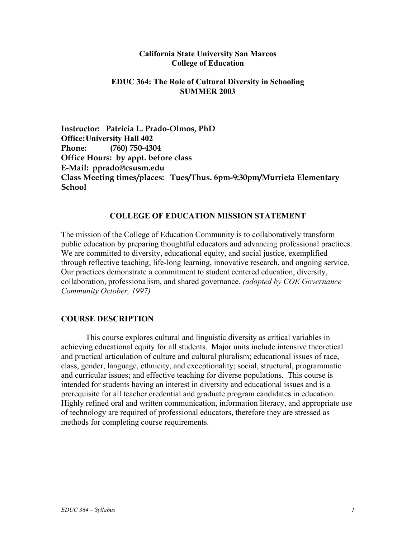### **California State University San Marcos College of Education**

### **EDUC 364: The Role of Cultural Diversity in Schooling SUMMER 2003**

**Instructor: Patricia L. Prado-Olmos, PhD Office: University Hall 402 Phone: (760) 750-4304 Office Hours: by appt. before class E-Mail: pprado@csusm.edu Class Meeting times/places: Tues/Thus. 6pm-9:30pm/Murrieta Elementary School** 

#### **COLLEGE OF EDUCATION MISSION STATEMENT**

The mission of the College of Education Community is to collaboratively transform public education by preparing thoughtful educators and advancing professional practices. We are committed to diversity, educational equity, and social justice, exemplified through reflective teaching, life-long learning, innovative research, and ongoing service. Our practices demonstrate a commitment to student centered education, diversity, collaboration, professionalism, and shared governance. *(adopted by COE Governance Community October, 1997)*

## **COURSE DESCRIPTION**

This course explores cultural and linguistic diversity as critical variables in achieving educational equity for all students. Major units include intensive theoretical and practical articulation of culture and cultural pluralism; educational issues of race, class, gender, language, ethnicity, and exceptionality; social, structural, programmatic and curricular issues; and effective teaching for diverse populations. This course is intended for students having an interest in diversity and educational issues and is a prerequisite for all teacher credential and graduate program candidates in education. Highly refined oral and written communication, information literacy, and appropriate use of technology are required of professional educators, therefore they are stressed as methods for completing course requirements.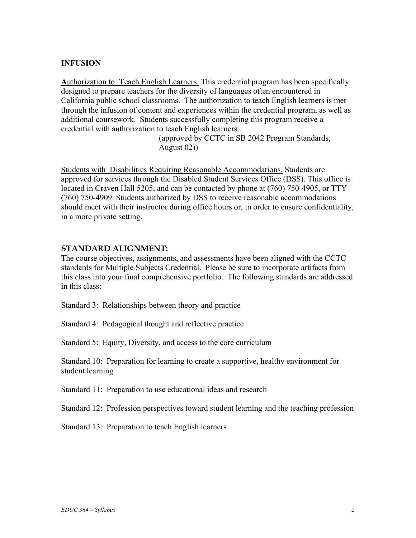## **INFUSION**

**A**uthorization to **T**each English Learners. This credential program has been specifically designed to prepare teachers for the diversity of languages often encountered in California public school classrooms. The authorization to teach English learners is met through the infusion of content and experiences within the credential program, as well as additional coursework. Students successfully completing this program receive a credential with authorization to teach English learners.

> (approved by CCTC in SB 2042 Program Standards, August 02))

Students with Disabilities Requiring Reasonable Accommodations. Students are approved for services through the Disabled Student Services Office (DSS). This office is located in Craven Hall 5205, and can be contacted by phone at (760) 750-4905, or TTY (760) 750-4909. Students authorized by DSS to receive reasonable accommodations should meet with their instructor during office hours or, in order to ensure confidentiality, in a more private setting.

### **STANDARD ALIGNMENT:**

The course objectives, assignments, and assessments have been aligned with the CCTC standards for Multiple Subjects Credential. Please be sure to incorporate artifacts from this class into your final comprehensive portfolio. The following standards are addressed in this class:

Standard 3: Relationships between theory and practice

Standard 4: Pedagogical thought and reflective practice

Standard 5: Equity, Diversity, and access to the core curriculum

Standard 10: Preparation for learning to create a supportive, healthy environment for student learning

Standard 11: Preparation to use educational ideas and research

Standard 12: Profession perspectives toward student learning and the teaching profession

Standard 13: Preparation to teach English learners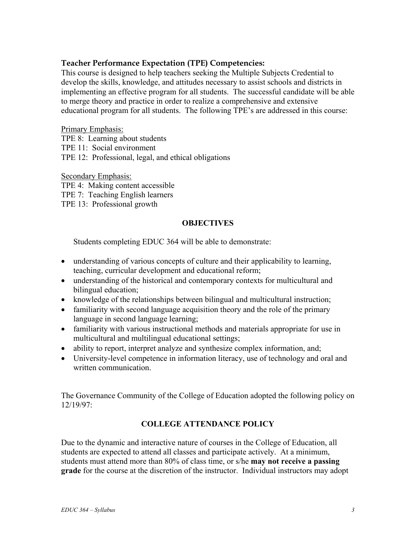## **Teacher Performance Expectation (TPE) Competencies:**

This course is designed to help teachers seeking the Multiple Subjects Credential to develop the skills, knowledge, and attitudes necessary to assist schools and districts in implementing an effective program for all students. The successful candidate will be able to merge theory and practice in order to realize a comprehensive and extensive educational program for all students. The following TPE's are addressed in this course:

### Primary Emphasis:

TPE 8: Learning about students

TPE 11: Social environment

TPE 12: Professional, legal, and ethical obligations

Secondary Emphasis:

TPE 4: Making content accessible

TPE 7: Teaching English learners

TPE 13: Professional growth

### **OBJECTIVES**

Students completing EDUC 364 will be able to demonstrate:

- understanding of various concepts of culture and their applicability to learning, teaching, curricular development and educational reform;
- understanding of the historical and contemporary contexts for multicultural and bilingual education;
- knowledge of the relationships between bilingual and multicultural instruction;
- familiarity with second language acquisition theory and the role of the primary language in second language learning;
- familiarity with various instructional methods and materials appropriate for use in multicultural and multilingual educational settings;
- ability to report, interpret analyze and synthesize complex information, and;
- University-level competence in information literacy, use of technology and oral and written communication.

The Governance Community of the College of Education adopted the following policy on 12/19/97:

## **COLLEGE ATTENDANCE POLICY**

Due to the dynamic and interactive nature of courses in the College of Education, all students are expected to attend all classes and participate actively. At a minimum, students must attend more than 80% of class time, or s/he **may not receive a passing grade** for the course at the discretion of the instructor. Individual instructors may adopt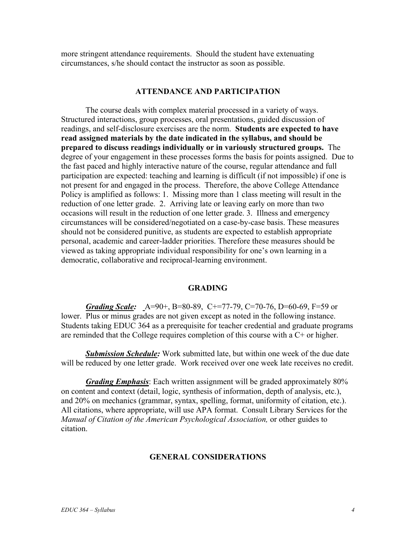more stringent attendance requirements. Should the student have extenuating circumstances, s/he should contact the instructor as soon as possible.

## **ATTENDANCE AND PARTICIPATION**

The course deals with complex material processed in a variety of ways. Structured interactions, group processes, oral presentations, guided discussion of readings, and self-disclosure exercises are the norm. **Students are expected to have read assigned materials by the date indicated in the syllabus, and should be prepared to discuss readings individually or in variously structured groups.** The degree of your engagement in these processes forms the basis for points assigned. Due to the fast paced and highly interactive nature of the course, regular attendance and full participation are expected: teaching and learning is difficult (if not impossible) if one is not present for and engaged in the process. Therefore, the above College Attendance Policy is amplified as follows: 1. Missing more than 1 class meeting will result in the reduction of one letter grade. 2. Arriving late or leaving early on more than two occasions will result in the reduction of one letter grade. 3. Illness and emergency circumstances will be considered/negotiated on a case-by-case basis. These measures should not be considered punitive, as students are expected to establish appropriate personal, academic and career-ladder priorities. Therefore these measures should be viewed as taking appropriate individual responsibility for one's own learning in a democratic, collaborative and reciprocal-learning environment.

### **GRADING**

*Grading Scale:* A=90+, B=80-89, C+=77-79, C=70-76, D=60-69, F=59 or lower. Plus or minus grades are not given except as noted in the following instance. Students taking EDUC 364 as a prerequisite for teacher credential and graduate programs are reminded that the College requires completion of this course with a C+ or higher.

*Submission Schedule:* Work submitted late, but within one week of the due date will be reduced by one letter grade. Work received over one week late receives no credit.

*Grading Emphasis*: Each written assignment will be graded approximately 80% on content and context (detail, logic, synthesis of information, depth of analysis, etc.), and 20% on mechanics (grammar, syntax, spelling, format, uniformity of citation, etc.). All citations, where appropriate, will use APA format. Consult Library Services for the *Manual of Citation of the American Psychological Association,* or other guides to citation.

### **GENERAL CONSIDERATIONS**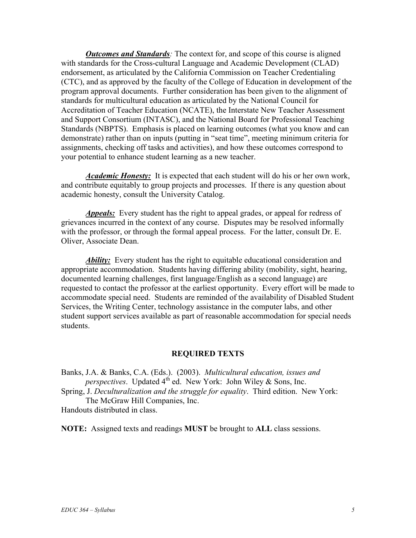*Outcomes and Standards:* The context for, and scope of this course is aligned with standards for the Cross-cultural Language and Academic Development (CLAD) endorsement, as articulated by the California Commission on Teacher Credentialing (CTC), and as approved by the faculty of the College of Education in development of the program approval documents. Further consideration has been given to the alignment of standards for multicultural education as articulated by the National Council for Accreditation of Teacher Education (NCATE), the Interstate New Teacher Assessment and Support Consortium (INTASC), and the National Board for Professional Teaching Standards (NBPTS). Emphasis is placed on learning outcomes (what you know and can demonstrate) rather than on inputs (putting in "seat time", meeting minimum criteria for assignments, checking off tasks and activities), and how these outcomes correspond to your potential to enhance student learning as a new teacher.

*Academic Honesty:* It is expected that each student will do his or her own work, and contribute equitably to group projects and processes. If there is any question about academic honesty, consult the University Catalog.

*Appeals:* Every student has the right to appeal grades, or appeal for redress of grievances incurred in the context of any course. Disputes may be resolved informally with the professor, or through the formal appeal process. For the latter, consult Dr. E. Oliver, Associate Dean.

*Ability:* Every student has the right to equitable educational consideration and appropriate accommodation. Students having differing ability (mobility, sight, hearing, documented learning challenges, first language/English as a second language) are requested to contact the professor at the earliest opportunity. Every effort will be made to accommodate special need. Students are reminded of the availability of Disabled Student Services, the Writing Center, technology assistance in the computer labs, and other student support services available as part of reasonable accommodation for special needs students.

#### **REQUIRED TEXTS**

Banks, J.A. & Banks, C.A. (Eds.). (2003). *Multicultural education, issues and perspectives*. Updated 4<sup>th</sup> ed. New York: John Wiley & Sons, Inc.

Spring, J. *Deculturalization and the struggle for equality*. Third edition. New York: The McGraw Hill Companies, Inc.

Handouts distributed in class.

**NOTE:** Assigned texts and readings **MUST** be brought to **ALL** class sessions.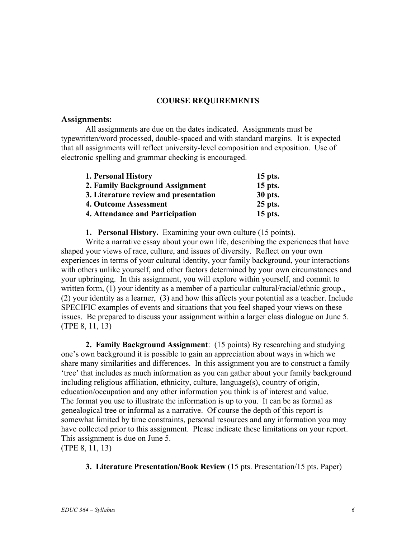## **COURSE REQUIREMENTS**

### **Assignments:**

All assignments are due on the dates indicated. Assignments must be typewritten/word processed, double-spaced and with standard margins. It is expected that all assignments will reflect university-level composition and exposition. Use of electronic spelling and grammar checking is encouraged.

| 1. Personal History                   | 15 pts. |
|---------------------------------------|---------|
| 2. Family Background Assignment       | 15 pts. |
| 3. Literature review and presentation | 30 pts. |
| 4. Outcome Assessment                 | 25 pts. |
| 4. Attendance and Participation       | 15 pts. |

**1. Personal History.** Examining your own culture (15 points).

Write a narrative essay about your own life, describing the experiences that have shaped your views of race, culture, and issues of diversity. Reflect on your own experiences in terms of your cultural identity, your family background, your interactions with others unlike yourself, and other factors determined by your own circumstances and your upbringing. In this assignment, you will explore within yourself, and commit to written form, (1) your identity as a member of a particular cultural/racial/ethnic group. (2) your identity as a learner, (3) and how this affects your potential as a teacher. Include SPECIFIC examples of events and situations that you feel shaped your views on these issues. Be prepared to discuss your assignment within a larger class dialogue on June 5. (TPE 8, 11, 13)

**2. Family Background Assignment**: (15 points) By researching and studying one's own background it is possible to gain an appreciation about ways in which we share many similarities and differences. In this assignment you are to construct a family 'tree' that includes as much information as you can gather about your family background including religious affiliation, ethnicity, culture, language(s), country of origin, education/occupation and any other information you think is of interest and value. The format you use to illustrate the information is up to you. It can be as formal as genealogical tree or informal as a narrative. Of course the depth of this report is somewhat limited by time constraints, personal resources and any information you may have collected prior to this assignment. Please indicate these limitations on your report. This assignment is due on June 5.

(TPE 8, 11, 13)

**3. Literature Presentation/Book Review** (15 pts. Presentation/15 pts. Paper)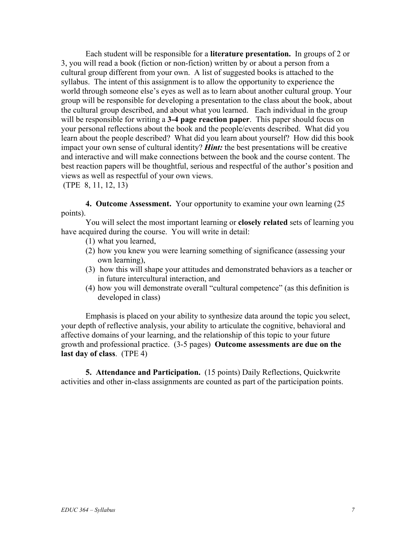Each student will be responsible for a **literature presentation.** In groups of 2 or 3, you will read a book (fiction or non-fiction) written by or about a person from a cultural group different from your own. A list of suggested books is attached to the syllabus. The intent of this assignment is to allow the opportunity to experience the world through someone else's eyes as well as to learn about another cultural group. Your group will be responsible for developing a presentation to the class about the book, about the cultural group described, and about what you learned. Each individual in the group will be responsible for writing a **3-4 page reaction paper**. This paper should focus on your personal reflections about the book and the people/events described. What did you learn about the people described? What did you learn about yourself? How did this book impact your own sense of cultural identity? *Hint:* the best presentations will be creative and interactive and will make connections between the book and the course content. The best reaction papers will be thoughtful, serious and respectful of the author's position and views as well as respectful of your own views.

(TPE 8, 11, 12, 13)

**4. Outcome Assessment.** Your opportunity to examine your own learning (25 points).

You will select the most important learning or **closely related** sets of learning you have acquired during the course. You will write in detail:

- (1) what you learned,
- (2) how you knew you were learning something of significance (assessing your own learning),
- (3) how this will shape your attitudes and demonstrated behaviors as a teacher or in future intercultural interaction, and
- (4) how you will demonstrate overall "cultural competence" (as this definition is developed in class)

Emphasis is placed on your ability to synthesize data around the topic you select, your depth of reflective analysis, your ability to articulate the cognitive, behavioral and affective domains of your learning, and the relationship of this topic to your future growth and professional practice. (3-5 pages) **Outcome assessments are due on the last day of class**. (TPE 4)

**5. Attendance and Participation.** (15 points) Daily Reflections, Quickwrite activities and other in-class assignments are counted as part of the participation points.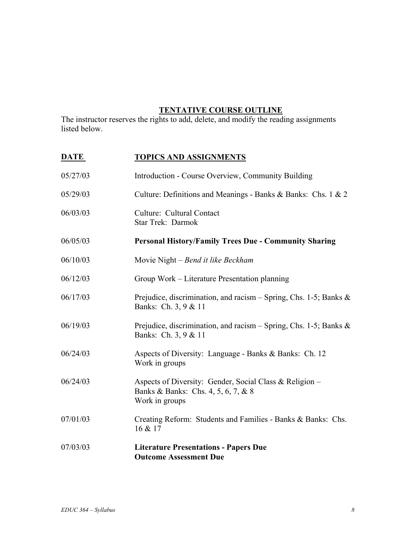# **TENTATIVE COURSE OUTLINE**

The instructor reserves the rights to add, delete, and modify the reading assignments listed below.

| <b>DATE</b> | <b>TOPICS AND ASSIGNMENTS</b>                                                                                    |
|-------------|------------------------------------------------------------------------------------------------------------------|
| 05/27/03    | Introduction - Course Overview, Community Building                                                               |
| 05/29/03    | Culture: Definitions and Meanings - Banks & Banks: Chs. 1 & 2                                                    |
| 06/03/03    | Culture: Cultural Contact<br>Star Trek: Darmok                                                                   |
| 06/05/03    | <b>Personal History/Family Trees Due - Community Sharing</b>                                                     |
| 06/10/03    | Movie Night – Bend it like Beckham                                                                               |
| 06/12/03    | Group Work – Literature Presentation planning                                                                    |
| 06/17/03    | Prejudice, discrimination, and racism – Spring, Chs. 1-5; Banks $\&$<br>Banks: Ch. 3, 9 & 11                     |
| 06/19/03    | Prejudice, discrimination, and racism – Spring, Chs. 1-5; Banks $\&$<br>Banks: Ch. 3, 9 & 11                     |
| 06/24/03    | Aspects of Diversity: Language - Banks & Banks: Ch. 12<br>Work in groups                                         |
| 06/24/03    | Aspects of Diversity: Gender, Social Class & Religion –<br>Banks & Banks: Chs. 4, 5, 6, 7, & 8<br>Work in groups |
| 07/01/03    | Creating Reform: Students and Families - Banks & Banks: Chs.<br>16 & 17                                          |
| 07/03/03    | <b>Literature Presentations - Papers Due</b><br><b>Outcome Assessment Due</b>                                    |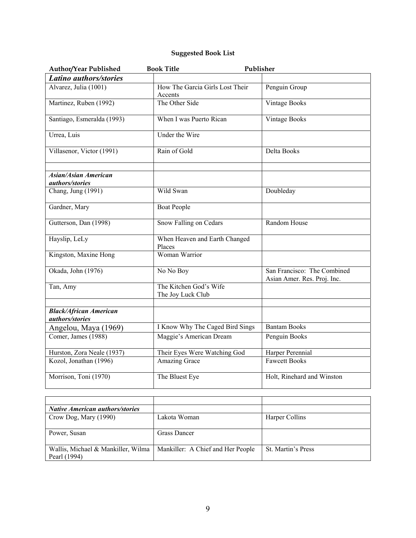# **Suggested Book List**

| Author/Year Published                            | <b>Book Title</b>                           | Publisher                                                  |
|--------------------------------------------------|---------------------------------------------|------------------------------------------------------------|
| Latino authors/stories                           |                                             |                                                            |
| Alvarez, Julia (1001)                            | How The Garcia Girls Lost Their<br>Accents  | Penguin Group                                              |
| Martinez, Ruben (1992)                           | The Other Side                              | <b>Vintage Books</b>                                       |
| Santiago, Esmeralda (1993)                       | When I was Puerto Rican                     | <b>Vintage Books</b>                                       |
| Urrea, Luis                                      | Under the Wire                              |                                                            |
| Villasenor, Victor (1991)                        | Rain of Gold                                | Delta Books                                                |
| <b>Asian/Asian American</b><br>authors/stories   |                                             |                                                            |
| Chang, Jung (1991)                               | Wild Swan                                   | Doubleday                                                  |
| Gardner, Mary                                    | <b>Boat People</b>                          |                                                            |
| Gutterson, Dan (1998)                            | Snow Falling on Cedars                      | Random House                                               |
| Hayslip, LeLy                                    | When Heaven and Earth Changed<br>Places     |                                                            |
| Kingston, Maxine Hong                            | Woman Warrior                               |                                                            |
| Okada, John (1976)                               | No No Boy                                   | San Francisco: The Combined<br>Asian Amer. Res. Proj. Inc. |
| Tan, Amy                                         | The Kitchen God's Wife<br>The Joy Luck Club |                                                            |
|                                                  |                                             |                                                            |
| <b>Black/African American</b><br>authors/stories |                                             |                                                            |
| Angelou, Maya (1969)                             | I Know Why The Caged Bird Sings             | <b>Bantam Books</b>                                        |
| Comer, James (1988)                              | Maggie's American Dream                     | Penguin Books                                              |
| Hurston, Zora Neale (1937)                       | Their Eyes Were Watching God                | Harper Perennial                                           |
| Kozol, Jonathan (1996)                           | Amazing Grace                               | <b>Fawcett Books</b>                                       |
| Morrison, Toni (1970)                            | The Bluest Eye                              | Holt, Rinehard and Winston                                 |

| Native American authors/stories    |                                   |                           |
|------------------------------------|-----------------------------------|---------------------------|
| Crow Dog, Mary (1990)              | Lakota Woman                      | Harper Collins            |
|                                    |                                   |                           |
| Power, Susan                       | <b>Grass Dancer</b>               |                           |
|                                    |                                   |                           |
| Wallis, Michael & Mankiller, Wilma | Mankiller: A Chief and Her People | <b>St. Martin's Press</b> |
| Pearl (1994)                       |                                   |                           |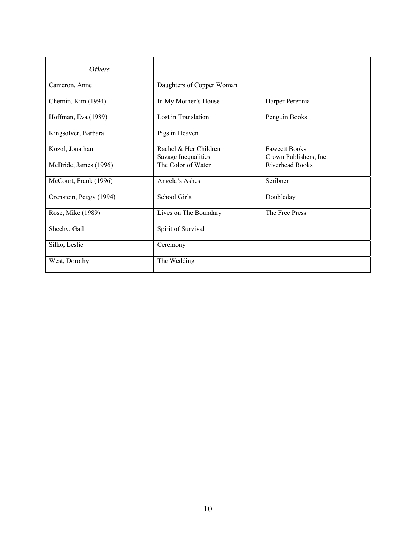| <b>Others</b>           |                                              |                                                |
|-------------------------|----------------------------------------------|------------------------------------------------|
| Cameron, Anne           | Daughters of Copper Woman                    |                                                |
| Chernin, Kim (1994)     | In My Mother's House                         | Harper Perennial                               |
| Hoffman, Eva (1989)     | Lost in Translation                          | Penguin Books                                  |
| Kingsolver, Barbara     | Pigs in Heaven                               |                                                |
| Kozol, Jonathan         | Rachel & Her Children<br>Savage Inequalities | <b>Fawcett Books</b><br>Crown Publishers, Inc. |
| McBride, James (1996)   | The Color of Water                           | <b>Riverhead Books</b>                         |
| McCourt, Frank (1996)   | Angela's Ashes                               | Scribner                                       |
| Orenstein, Peggy (1994) | School Girls                                 | Doubleday                                      |
| Rose, Mike (1989)       | Lives on The Boundary                        | The Free Press                                 |
| Sheehy, Gail            | Spirit of Survival                           |                                                |
| Silko, Leslie           | Ceremony                                     |                                                |
| West, Dorothy           | The Wedding                                  |                                                |